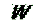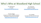# Who's Who at Woodland High School

Dr. Phil Pearson Principal [PearsonP@WoodlandSchools.org](mailto:PearsonP@WoodlandSchools.org)

Dan Uhlenkott Assistant Principal [UhlenkoD@WoodlandSchools.org](mailto:UhlenkoD@WoodlandSchools.org)

Christine Maggi (Long term sub for Catherine Pulliam) Counselor for 10th and 11th Grade [MaggiC@WoodlandSchools.org](mailto:MaggiC@WoodlandSchools.org)

Terra Pfeiffer Counselor for 9th and 12th Grade [PfeiffeT@WoodlanSchools.org](mailto:PfeiffeT@WoodlanSchools.org)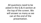All questions need to be asked in the Q & A section at the top of the screen. We will answer as many as we can at the end of the presentation.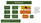### **WHS Diploma**



To earn a WHS diploma students must earn 24.0 credits, show academic competency on the state assessments, complete a Culminating Project, and complete their High School and Beyond Plan.

\*PPR= Personalized Pathway Requirement: Locally determined courses that lead to a specific post-high school career outcome chosen by the student, based on the student's interest and High School and Beyond Plan.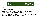### How you earn your 24.0 Credits…

At WHS we have:

- 2 Academic Semesters
- •During each semester students take 6 classes + a CLC class. Each class is worth .5 credits and CLC is worth .25 credits.
- •At the end of the year students can earn up to 6.5 credits. At the end of four years students can earn up to 26.0 credits.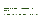### **Honors ENG 9 will be embedded in regular ENG 9.**

**This will be determined by communication with the teacher.**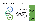### Math Progression: 3.0 Credits

Algebra 1 Geometry Math

Students are **required** to take 1.0 credit of Algebra 1 and 1.0 credit of Geometry.

After they have completed their Algebra 1 and Geometry requirements then students will complete an additional 1.0 credit of math. Students can choose from the list to the right or an approved course through Running Start or Cascadia Tech.<br>
Financial

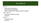### CLC 2020-21

#### 9th CLC

- High School Preparedness
- Start focusing on pathways
- Naviance (career, life, college readiness program)
- 10th 11th CLC
- Pathways focused (next slide)
- Naviance

12th CLC

- Life skills focused
- Naviance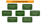### **CLC PATHWAYS @ WHS**

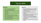### Tips for WHS

#### Students

- Use the to do list generated automatically by Google
- Attack your school tasks earlier rather than later
- Don't lose hope in your heart. Ask for help early
- Stay connected with your friends
- Use social media wisely (or not at all)
- Get outside regularly
- Go to bed before midnight. Seriously. You'll thank me later

#### Parents

- Stay connected with your student's academic life even if they say they don't want you to
- Use the parent access feature in Skyward
- Contact your student's teachers early with questions or concerns
- If the story you're hearing sounds strange, you may not be getting the whole story
- Contact us at any time, the earlier the better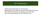### CLC Conferences

- Conferences will be Sept. 1st, 2nd and 3rd.
- Meeting with CLC teacher to go over what distance learning will look like and answer any questions you may have. - Sign up through Skyward on the conference tab.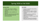### Spring 2020 vs Fall 2020

#### Spring 2020

- Grades were "frozen" in March
- Classes did not meet on a regular schedule
- Office hours were available and optional
- Staff were required to be off campus
- Online learning launched with minimal prep time

#### Fall 2020

- Grades are awarded using existing grading practices
- Classes meet on a regular schedule
- Small group times meet on regular schedule
- Individual assistance available by request in the mornings
- Staff will be on campus during normal school hours
- Significant time put into preparing Comprehensive Distance Learning.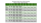#### Woodland High School 2020 Schedule

#### **Distance Learning - Student Schedule**

|                                                     | 9:00                                        | 9:30                          | 10:30                                                                           | 11:10                                                                    | 11:50                                                                    | 12:25 | 1:00                              | 1:45                              | 2:30                              | 3:15                              |
|-----------------------------------------------------|---------------------------------------------|-------------------------------|---------------------------------------------------------------------------------|--------------------------------------------------------------------------|--------------------------------------------------------------------------|-------|-----------------------------------|-----------------------------------|-----------------------------------|-----------------------------------|
|                                                     | 9:25                                        | 10:25                         | 11:05                                                                           | 11:45                                                                    | 12:25                                                                    | 12:55 | 1:40                              | 2:25                              | 3:10                              | 3:45                              |
| 1st, 3rd, &<br>5th<br><b>Monday of</b><br>the Month | Indiv.<br><b>Work</b><br><u>Time</u>        | Stud.<br>Supp.<br><b>Time</b> | Individual or<br><b>Small Group</b><br><b>Assistance</b><br>A - Period 4        | Individual or<br><b>Small Group</b><br><b>Assistance</b><br>A - Period 5 | Individual or<br><b>Small Group</b><br><b>Assistance</b><br>A - Period 6 | Lunch | <b>Class Time</b><br>A - Period 1 | <b>Class Time</b><br>A - Period 2 | <b>Class Time</b><br>A - Period 3 | <b>Class Time</b><br>A - CLC      |
| 2nd, 4th<br><b>Monday of</b><br>the Month           | Indiv.<br><b>Work</b><br><b>Time</b>        | Stud.<br>Supp.<br><b>Time</b> | Individual or<br><b>Small Group</b><br><b>Assistance</b><br>B - Period 1        | Individual or<br><b>Small Group</b><br><b>Assistance</b><br>B - Period 2 | Individual or<br><b>Small Group</b><br><b>Assistance</b><br>B - Period 3 | Lunch | <b>Class Time</b><br>B - Period 4 | <b>Class Time</b><br>B - Period 5 | <b>Class Time</b><br>B - Period 6 | <b>Class Time</b><br>$B - CLC$    |
| <b>Tuesday</b>                                      | Indiv.<br><b>Work</b><br>Time               | Stud.<br>Supp.<br>Time        | Individual or<br><b>Small Group</b><br><b>Assistance</b><br>A - Period 4        | Individual or<br><b>Small Group</b><br><b>Assistance</b><br>A - Period 5 | Individual or<br><b>Small Group</b><br><b>Assistance</b><br>A - Period 6 | Lunch | <b>Class Time</b><br>A - Period 1 | <b>Class Time</b><br>A - Period 2 | <b>Class Time</b><br>A - Period 3 | <b>Class Time</b><br>A - CLC      |
| Wednesday                                           | Indiv.<br><b>Work</b><br><b>Time</b>        | Stud.<br>Supp.<br><b>Time</b> | Individual or<br><b>Small Group</b><br><b>Assistance</b><br>B - Period 1        | Individual or<br><b>Small Group</b><br><b>Assistance</b><br>B - Period 2 | Individual or<br><b>Small Group</b><br><b>Assistance</b><br>B - Period 3 | Lunch | <b>Class Time</b><br>B - Period 4 | <b>Class Time</b><br>B - Period 5 | <b>Class Time</b><br>B - Period 6 | <b>Class Time</b><br><b>B-CLC</b> |
| <b>Thursday</b>                                     | <u>Indiv.</u><br><b>Work</b><br><b>Time</b> | Stud.<br>Supp.<br>Time        | Individual or<br><b>Small Group</b><br><b>Assistance</b><br>A - Period 4        | Individual or<br><b>Small Group</b><br><b>Assistance</b><br>A - Period 5 | Individual or<br><b>Small Group</b><br><b>Assistance</b><br>A - Period 6 | Lunch | <b>Class Time</b><br>A - Period 1 | <b>Class Time</b><br>A - Period 2 | <b>Class Time</b><br>A - Period 3 | <b>Class Time</b><br>A - CLC      |
| <b>Friday</b>                                       | Indiv.<br><b>Work</b><br><u>Time</u>        | Stud.<br>Supp.<br><b>Time</b> | Individual or<br><b>Small Group</b><br><b>Assistance</b><br><b>B</b> - Period 1 | Individual or<br><b>Small Group</b><br><b>Assistance</b><br>B - Period 2 | Individual or<br><b>Small Group</b><br><b>Assistance</b><br>B - Period 3 | Lunch | <b>Class Time</b><br>B - Period 4 | <b>Class Time</b><br>B - Period 5 | <b>Class Time</b><br>B - Period 6 | <b>Class Time</b><br><b>B-CLC</b> |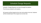### Schedule Change Requests

Schedule Change Requests are done through the website. The link was emailed to all students.

All requests will be looked at but may not be able to be met. Students will be emailed back if the request can not be met.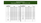#### **Woodland High School Pickup Supplies/Materials August 26 & 27, 2020**

| <b>Last Name</b><br><b>Begins With</b> | <b>Date</b>                | Time | <b>Last Name</b><br><b>Begins With</b> | <b>Date</b>               | <b>Time</b> |
|----------------------------------------|----------------------------|------|----------------------------------------|---------------------------|-------------|
| A                                      | Wednesday, August 26, 2020 | 1:00 | M                                      | Thursday, August 27, 2020 | 1:00        |
| B                                      | Wednesday, August 26, 2020 | 1:30 | N                                      | Thursday, August 27, 2020 | 1:30        |
| $\mathbf C$                            | Wednesday, August 26, 2020 | 2:00 | $\mathbf O$                            | Thursday, August 27, 2020 | 2:00        |
| D                                      | Wednesday, August 26, 2020 | 2:30 | P                                      | Thursday, August 27, 2020 | 2:30        |
| E                                      | Wednesday, August 26, 2020 | 3:00 | Q                                      | Thursday, August 27, 2020 | 3:00        |
| F                                      | Wednesday, August 26, 2020 | 3:30 | R.                                     | Thursday, August 27, 2020 | 3:30        |
| G                                      | Wednesday, August 26, 2020 | 4:00 | S                                      | Thursday, August 27, 2020 | 4:00        |
| H                                      | Wednesday, August 26, 2020 | 4:30 | T                                      | Thursday, August 27, 2020 | 4:30        |
|                                        | Wednesday, August 26, 2020 | 5:00 | <b>UV</b>                              | Thursday, August 27, 2020 | 5:00        |
| J                                      | Wednesday, August 26, 2020 | 5:30 | W                                      | Thursday, August 27, 2020 | 5:30        |
| K                                      | Wednesday, August 26, 2020 | 6:00 | <b>XYZ</b>                             | Thursday, August 27, 2020 | 6:00        |
| L                                      | Wednesday, August 26, 2020 | 6:30 | Open                                   | Thursday, August 27, 2020 | 6:30        |
| Open                                   | Wednesday, August 26, 2020 | 7:00 |                                        |                           |             |
|                                        |                            |      |                                        |                           |             |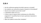## **Q & A**

- Are the conferences going to be held in-person or virtually?
- Can students use a personal computer instead of a Chromebook?
- How do new students access their email?
- Is attendance taken at 9 a.m.?
- Is there a way to request which small group my child will be assigned to? I would like them to have a particular classmate to not feel so alone.
- When do students receive their schedules?